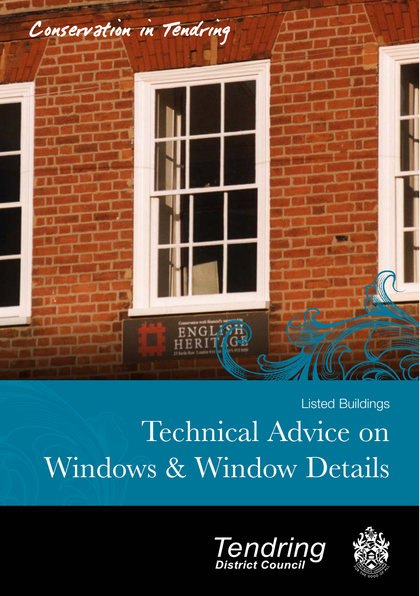

# Technical Advice on Windows & Window Details Listed Buildings



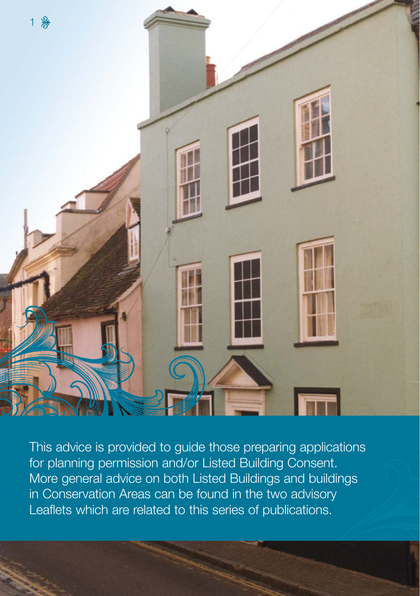

This advice is provided to guide those preparing applications for planning permission and/or Listed Building Consent. More general advice on both Listed Buildings and buildings in Conservation Areas can be found in the two advisory Leaflets which are related to this series of publications.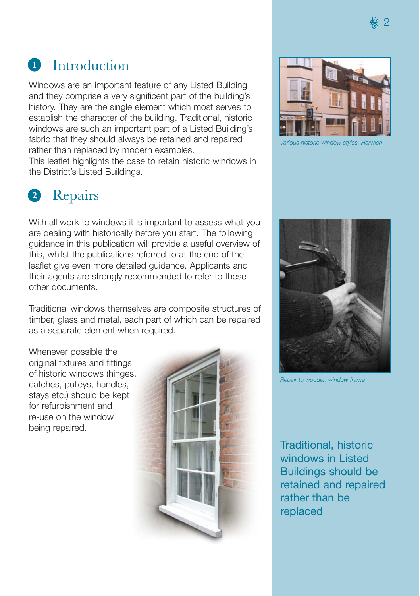#### Introduction **1**

Windows are an important feature of any Listed Building and they comprise a very significent part of the building's history. They are the single element which most serves to establish the character of the building. Traditional, historic windows are such an important part of a Listed Building's fabric that they should always be retained and repaired rather than replaced by modern examples.

This leaflet highlights the case to retain historic windows in the District's Listed Buildings.

#### Repairs **2**

With all work to windows it is important to assess what you are dealing with historically before you start. The following guidance in this publication will provide a useful overview of this, whilst the publications referred to at the end of the leaflet give even more detailed guidance. Applicants and their agents are strongly recommended to refer to these other documents.

Traditional windows themselves are composite structures of timber, glass and metal, each part of which can be repaired as a separate element when required.

Whenever possible the original fixtures and fittings of historic windows (hinges, catches, pulleys, handles, stays etc.) should be kept for refurbishment and re-use on the window being repaired.





*Various historic window styles, Harwich*



*Repair to wooden window frame*

Traditional, historic windows in Listed Buildings should be retained and repaired rather than be replaced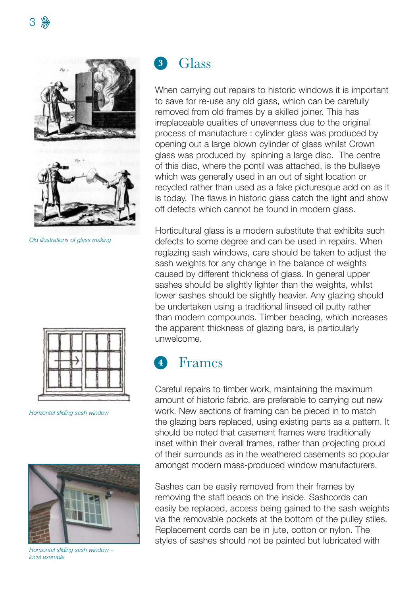

*Old illustrations of glass making*



*Horizontal sliding sash window*



*Horizontal sliding sash window – local example*

#### Glass **3**

When carrying out repairs to historic windows it is important to save for re-use any old glass, which can be carefully removed from old frames by a skilled joiner. This has irreplaceable qualities of unevenness due to the original process of manufacture : cylinder glass was produced by opening out a large blown cylinder of glass whilst Crown glass was produced by spinning a large disc. The centre of this disc, where the pontil was attached, is the bullseye which was generally used in an out of sight location or recycled rather than used as a fake picturesque add on as it is today. The flaws in historic glass catch the light and show off defects which cannot be found in modern glass.

Horticultural glass is a modern substitute that exhibits such defects to some degree and can be used in repairs. When reglazing sash windows, care should be taken to adjust the sash weights for any change in the balance of weights caused by different thickness of glass. In general upper sashes should be slightly lighter than the weights, whilst lower sashes should be slightly heavier. Any glazing should be undertaken using a traditional linseed oil putty rather than modern compounds. Timber beading, which increases the apparent thickness of glazing bars, is particularly unwelcome.

#### Frames **4**

Careful repairs to timber work, maintaining the maximum amount of historic fabric, are preferable to carrying out new work. New sections of framing can be pieced in to match the glazing bars replaced, using existing parts as a pattern. It should be noted that casement frames were traditionally inset within their overall frames, rather than projecting proud of their surrounds as in the weathered casements so popular amongst modern mass-produced window manufacturers.

Sashes can be easily removed from their frames by removing the staff beads on the inside. Sashcords can easily be replaced, access being gained to the sash weights via the removable pockets at the bottom of the pulley stiles. Replacement cords can be in jute, cotton or nylon. The styles of sashes should not be painted but lubricated with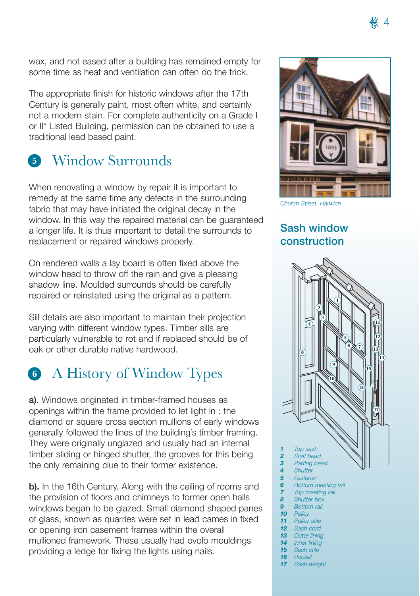wax, and not eased after a building has remained empty for some time as heat and ventilation can often do the trick.

The appropriate finish for historic windows after the 17th Century is generally paint, most often white, and certainly not a modern stain. For complete authenticity on a Grade I or II\* Listed Building, permission can be obtained to use a traditional lead based paint.

# Window Surrounds **5**

When renovating a window by repair it is important to remedy at the same time any defects in the surrounding fabric that may have initiated the original decay in the window. In this way the repaired material can be guaranteed a longer life. It is thus important to detail the surrounds to replacement or repaired windows properly.

On rendered walls a lay board is often fixed above the window head to throw off the rain and give a pleasing shadow line. Moulded surrounds should be carefully repaired or reinstated using the original as a pattern.

Sill details are also important to maintain their projection varying with different window types. Timber sills are particularly vulnerable to rot and if replaced should be of oak or other durable native hardwood.

# A History of Window Types **6**

**a).** Windows originated in timber-framed houses as openings within the frame provided to let light in : the diamond or square cross section mullions of early windows generally followed the lines of the building's timber framing. They were originally unglazed and usually had an internal timber sliding or hinged shutter, the grooves for this being the only remaining clue to their former existence.

**b).** In the 16th Century. Along with the ceiling of rooms and the provision of floors and chimneys to former open halls windows began to be glazed. Small diamond shaped panes of glass, known as quarries were set in lead cames in fixed or opening iron casement frames within the overall mullioned framework. These usually had ovolo mouldings providing a ledge for fixing the lights using nails.



### **Sash window construction**

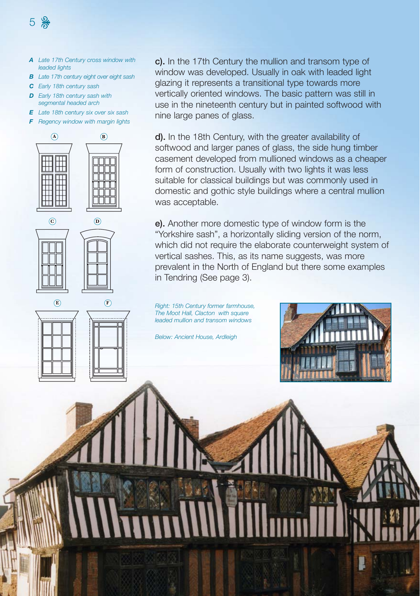- *A Late 17th Century cross window with leaded lights*
- *B Late 17th century eight over eight sash*
- *C Early 18th century sash*

5 &

- *D Early 18th century sash with segmental headed arch*
- *E Late 18th century six over six sash*
- *F Regency window with margin lights*







**c).** In the 17th Century the mullion and transom type of window was developed. Usually in oak with leaded light glazing it represents a transitional type towards more vertically oriented windows. The basic pattern was still in use in the nineteenth century but in painted softwood with nine large panes of glass.

**d).** In the 18th Century, with the greater availability of softwood and larger panes of glass, the side hung timber casement developed from mullioned windows as a cheaper form of construction. Usually with two lights it was less suitable for classical buildings but was commonly used in domestic and gothic style buildings where a central mullion was acceptable.

**e).** Another more domestic type of window form is the "Yorkshire sash", a horizontally sliding version of the norm, which did not require the elaborate counterweight system of vertical sashes. This, as its name suggests, was more prevalent in the North of England but there some examples in Tendring (See page 3).

*Right: 15th Century former farmhouse, The Moot Hall, Clacton with square leaded mullion and transom windows*

*Below: Ancient House, Ardleigh*

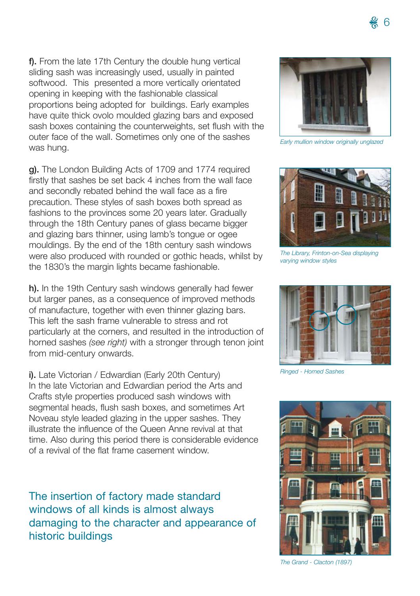**f).** From the late 17th Century the double hung vertical sliding sash was increasingly used, usually in painted softwood. This presented a more vertically orientated opening in keeping with the fashionable classical proportions being adopted for buildings. Early examples have quite thick ovolo moulded glazing bars and exposed sash boxes containing the counterweights, set flush with the outer face of the wall. Sometimes only one of the sashes was hung.

**g).** The London Building Acts of 1709 and 1774 required firstly that sashes be set back 4 inches from the wall face and secondly rebated behind the wall face as a fire precaution. These styles of sash boxes both spread as fashions to the provinces some 20 years later. Gradually through the 18th Century panes of glass became bigger and glazing bars thinner, using lamb's tongue or ogee mouldings. By the end of the 18th century sash windows were also produced with rounded or gothic heads, whilst by the 1830's the margin lights became fashionable.

**h).** In the 19th Century sash windows generally had fewer but larger panes, as a consequence of improved methods of manufacture, together with even thinner glazing bars. This left the sash frame vulnerable to stress and rot particularly at the corners, and resulted in the introduction of horned sashes *(see right)* with a stronger through tenon joint from mid-century onwards.

**i).** Late Victorian / Edwardian (Early 20th Century) In the late Victorian and Edwardian period the Arts and Crafts style properties produced sash windows with segmental heads, flush sash boxes, and sometimes Art Noveau style leaded glazing in the upper sashes. They illustrate the influence of the Queen Anne revival at that time. Also during this period there is considerable evidence of a revival of the flat frame casement window.

The insertion of factory made standard windows of all kinds is almost always damaging to the character and appearance of historic buildings



*Early mullion window originally unglazed*



*The Library, Frinton-on-Sea displaying varying window styles*



*Ringed - Horned Sashes*



*The Grand - Clacton (1897)*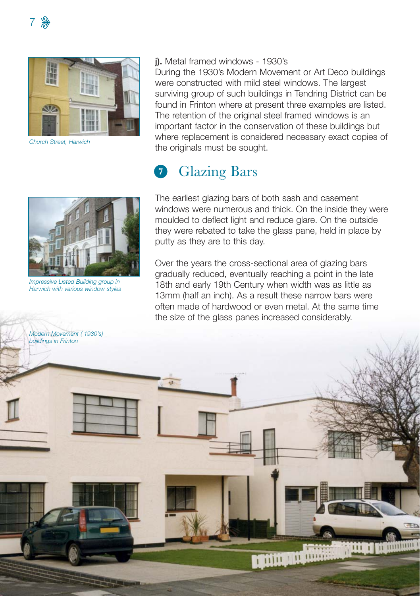

*Church Street, Harwich*



*Impressive Listed Building group in Harwich with various window styles*

#### **j).** Metal framed windows - 1930's

During the 1930's Modern Movement or Art Deco buildings were constructed with mild steel windows. The largest surviving group of such buildings in Tendring District can be found in Frinton where at present three examples are listed. The retention of the original steel framed windows is an important factor in the conservation of these buildings but where replacement is considered necessary exact copies of the originals must be sought.

#### Glazing Bars **7**

The earliest glazing bars of both sash and casement windows were numerous and thick. On the inside they were moulded to deflect light and reduce glare. On the outside they were rebated to take the glass pane, held in place by putty as they are to this day.

Over the years the cross-sectional area of glazing bars gradually reduced, eventually reaching a point in the late 18th and early 19th Century when width was as little as 13mm (half an inch). As a result these narrow bars were often made of hardwood or even metal. At the same time the size of the glass panes increased considerably.

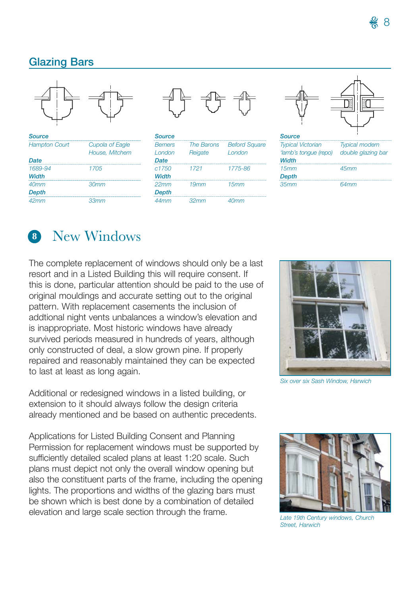### **Glazing Bars**



| <b>Source</b>        |                        |
|----------------------|------------------------|
| <b>Hampton Court</b> | <b>Cupola of Eagle</b> |
|                      | House, Mitchem         |
| Date                 |                        |
| 1689-94              | 1705                   |
| Width                |                        |
| 40 <sub>mm</sub>     | 30 <sub>mm</sub>       |
| <b>Depth</b>         |                        |
| 42mm                 | 33mm                   |



| <b>Source</b>    |            |                      |
|------------------|------------|----------------------|
| <b>Berners</b>   | The Barons | <b>Beford Square</b> |
| I ondon          | Reigate    | I ondon              |
| Date             |            |                      |
| c1750            | 1721       | 1775-86              |
| Width            |            |                      |
| $22$ mm          | 19mm       | 15mm                 |
| <b>Depth</b>     |            |                      |
| 44 <sub>mm</sub> | 32mm       | 40mm                 |



| <b>Typical Victorian</b> | <b>Typical modern</b> |
|--------------------------|-----------------------|
| 'lamb's tonque (repo)    | double glazing bar    |
| Width                    |                       |
| 15mm                     | 45mm                  |
| <b>Depth</b>             |                       |
| 35mm                     | 64 <sub>mm</sub>      |

# New Windows **8**

The complete replacement of windows should only be a last resort and in a Listed Building this will require consent. If this is done, particular attention should be paid to the use of original mouldings and accurate setting out to the original pattern. With replacement casements the inclusion of addtional night vents unbalances a window's elevation and is inappropriate. Most historic windows have already survived periods measured in hundreds of years, although only constructed of deal, a slow grown pine. If properly repaired and reasonably maintained they can be expected to last at least as long again.

Additional or redesigned windows in a listed building, or extension to it should always follow the design criteria already mentioned and be based on authentic precedents.

Applications for Listed Building Consent and Planning Permission for replacement windows must be supported by sufficiently detailed scaled plans at least 1:20 scale. Such plans must depict not only the overall window opening but also the constituent parts of the frame, including the opening lights. The proportions and widths of the glazing bars must be shown which is best done by a combination of detailed elevation and large scale section through the frame.



*Six over six Sash Window, Harwich*



*Late 19th Century windows, Church Street, Harwich*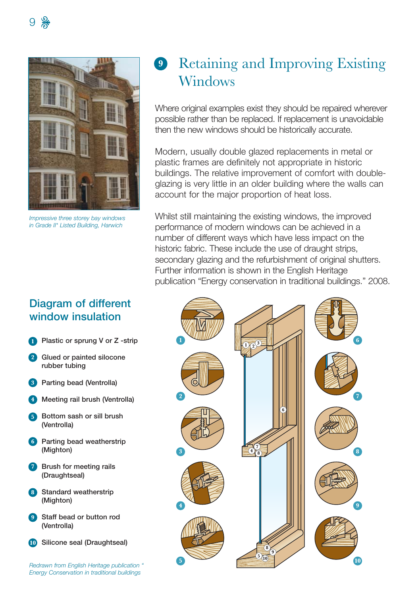

*Impressive three storey bay windows in Grade II\* Listed Building, Harwich*

### **9** Retaining and Improving Existing Windows

Where original examples exist they should be repaired wherever possible rather than be replaced. If replacement is unavoidable then the new windows should be historically accurate.

Modern, usually double glazed replacements in metal or plastic frames are definitely not appropriate in historic buildings. The relative improvement of comfort with doubleglazing is very little in an older building where the walls can account for the major proportion of heat loss.

Whilst still maintaining the existing windows, the improved performance of modern windows can be achieved in a number of different ways which have less impact on the historic fabric. These include the use of draught strips, secondary glazing and the refurbishment of original shutters. Further information is shown in the English Heritage publication "Energy conservation in traditional buildings." 2008.

# **1 2 3 4 5 6 7 8 9 10**  $\frac{1}{2}$   $\sqrt{2}$ <sup>3</sup> **4 7 <sup>5</sup> <sup>10</sup> 8 9 6 8**

### **Diagram of different window insulation**

- **Plastic or sprung V or Z -strip 1**
- **Glued or painted silocone 2 rubber tubing**
- **Parting bead (Ventrolla) 3**
- **Meeting rail brush (Ventrolla) 4**
- **5** Bottom sash or sill brush **(Ventrolla)**
- **Parting bead weatherstrip 6 (Mighton)**
- **Brush for meeting rails 7 (Draughtseal)**
- **Standard weatherstrip 8 (Mighton)**
- **Staff bead or button rod 9 (Ventrolla)**
- **Silicone seal (Draughtseal) 10**

*Redrawn from English Heritage publication " Energy Conservation in traditional buildings*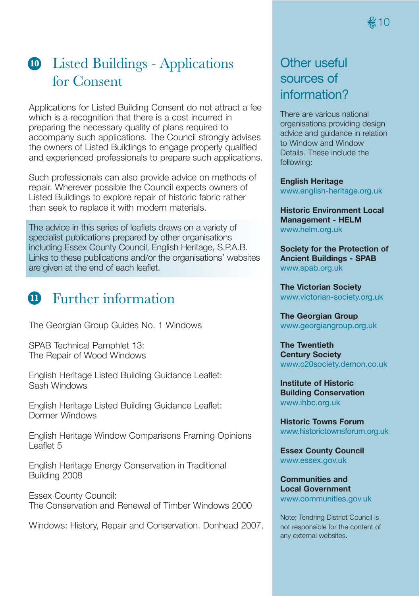## Listed Buildings - Applications **10** for Consent

Applications for Listed Building Consent do not attract a fee which is a recognition that there is a cost incurred in preparing the necessary quality of plans required to accompany such applications. The Council strongly advises the owners of Listed Buildings to engage properly qualified and experienced professionals to prepare such applications.

Such professionals can also provide advice on methods of repair. Wherever possible the Council expects owners of Listed Buildings to explore repair of historic fabric rather than seek to replace it with modern materials.

The advice in this series of leaflets draws on a variety of specialist publications prepared by other organisations including Essex County Council, English Heritage, S.P.A.B. Links to these publications and/or the organisations' websites are given at the end of each leaflet.

# Further information **11**

The Georgian Group Guides No. 1 Windows

SPAB Technical Pamphlet 13: The Repair of Wood Windows

English Heritage Listed Building Guidance Leaflet: Sash Windows

English Heritage Listed Building Guidance Leaflet: Dormer Windows

English Heritage Window Comparisons Framing Opinions Leaflet 5

English Heritage Energy Conservation in Traditional Building 2008

Essex County Council: The Conservation and Renewal of Timber Windows 2000

Windows: History, Repair and Conservation. Donhead 2007.

### Other useful sources of information?

There are various national organisations providing design advice and guidance in relation to Window and Window Details. These include the following:

**English Heritage** www.english-heritage.org.uk

**Historic Environment Local Management - HELM** www.helm.org.uk

**Society for the Protection of Ancient Buildings - SPAB** www.spab.org.uk

**The Victorian Society** www.victorian-society.org.uk

**The Georgian Group** www.georgiangroup.org.uk

**The Twentieth Century Society** www.c20society.demon.co.uk

**Institute of Historic Building Conservation** www.ihbc.org.uk

**Historic Towns Forum** www.historictownsforum.org.uk

**Essex County Council** www.essex.gov.uk

**Communities and Local Government** www.communities.gov.uk

Note; Tendring District Council is not responsible for the content of any external websites.